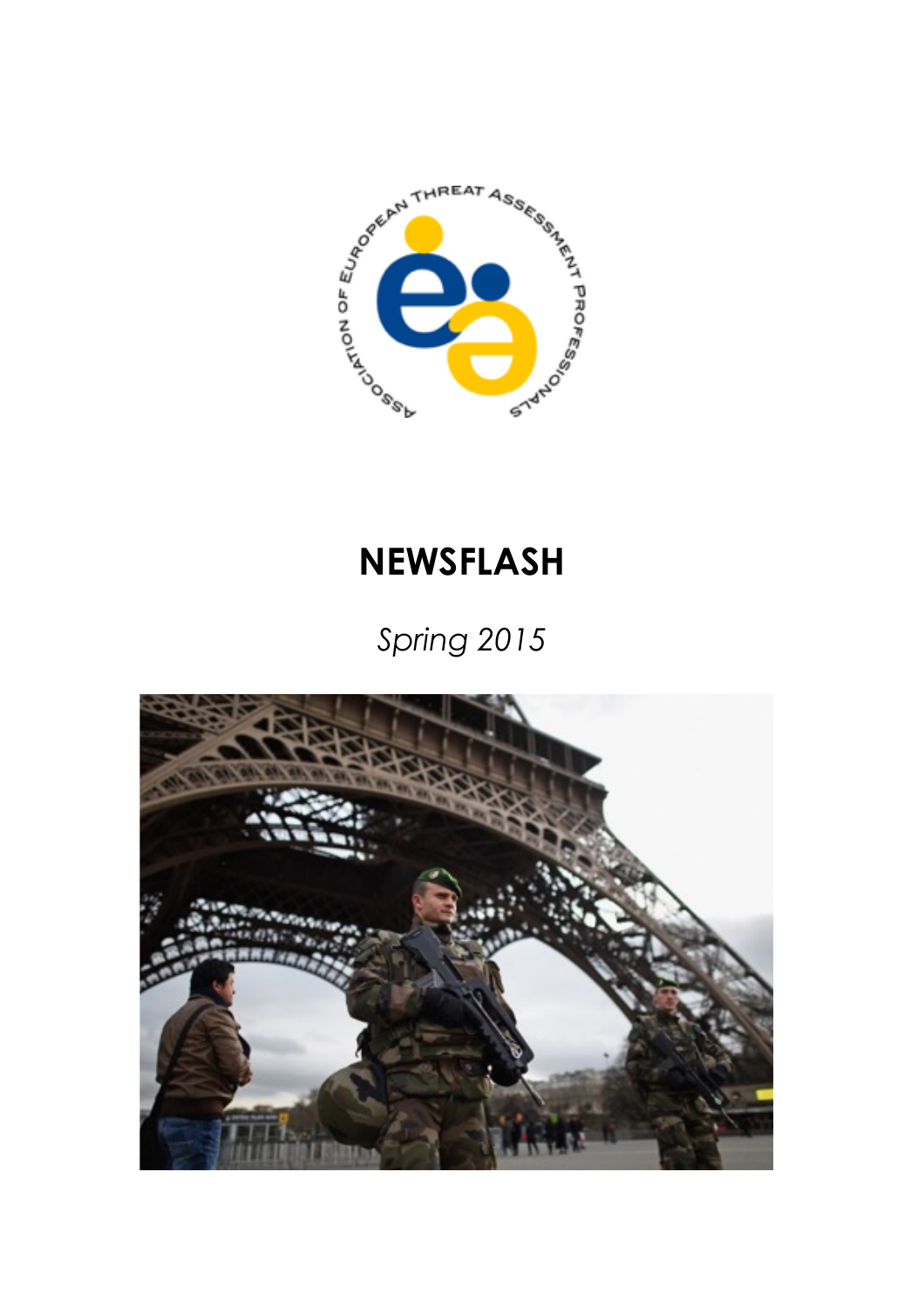

# **NEWSFLASH**

*Spring 2015*

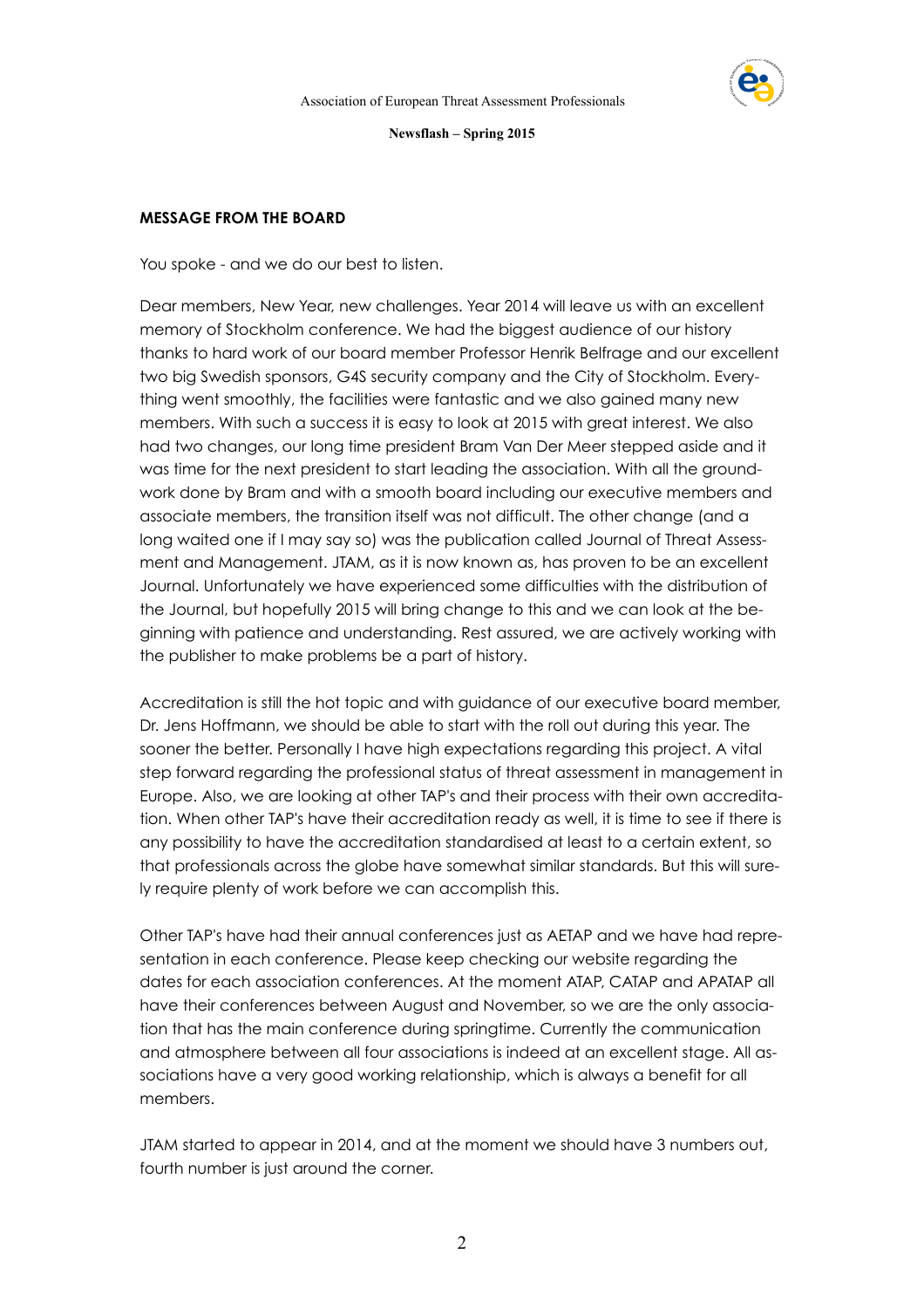

## **MESSAGE FROM THE BOARD**

You spoke - and we do our best to listen.

Dear members, New Year, new challenges. Year 2014 will leave us with an excellent memory of Stockholm conference. We had the biggest audience of our history thanks to hard work of our board member Professor Henrik Belfrage and our excellent two big Swedish sponsors, G4S security company and the City of Stockholm. Everything went smoothly, the facilities were fantastic and we also gained many new members. With such a success it is easy to look at 2015 with great interest. We also had two changes, our long time president Bram Van Der Meer stepped aside and it was time for the next president to start leading the association. With all the groundwork done by Bram and with a smooth board including our executive members and associate members, the transition itself was not difficult. The other change (and a long waited one if I may say so) was the publication called Journal of Threat Assessment and Management. JTAM, as it is now known as, has proven to be an excellent Journal. Unfortunately we have experienced some difficulties with the distribution of the Journal, but hopefully 2015 will bring change to this and we can look at the beginning with patience and understanding. Rest assured, we are actively working with the publisher to make problems be a part of history.

Accreditation is still the hot topic and with guidance of our executive board member, Dr. Jens Hoffmann, we should be able to start with the roll out during this year. The sooner the better. Personally I have high expectations regarding this project. A vital step forward regarding the professional status of threat assessment in management in Europe. Also, we are looking at other TAP's and their process with their own accreditation. When other TAP's have their accreditation ready as well, it is time to see if there is any possibility to have the accreditation standardised at least to a certain extent, so that professionals across the globe have somewhat similar standards. But this will surely require plenty of work before we can accomplish this.

Other TAP's have had their annual conferences just as AETAP and we have had representation in each conference. Please keep checking our website regarding the dates for each association conferences. At the moment ATAP, CATAP and APATAP all have their conferences between August and November, so we are the only association that has the main conference during springtime. Currently the communication and atmosphere between all four associations is indeed at an excellent stage. All associations have a very good working relationship, which is always a benefit for all members.

JTAM started to appear in 2014, and at the moment we should have 3 numbers out, fourth number is just around the corner.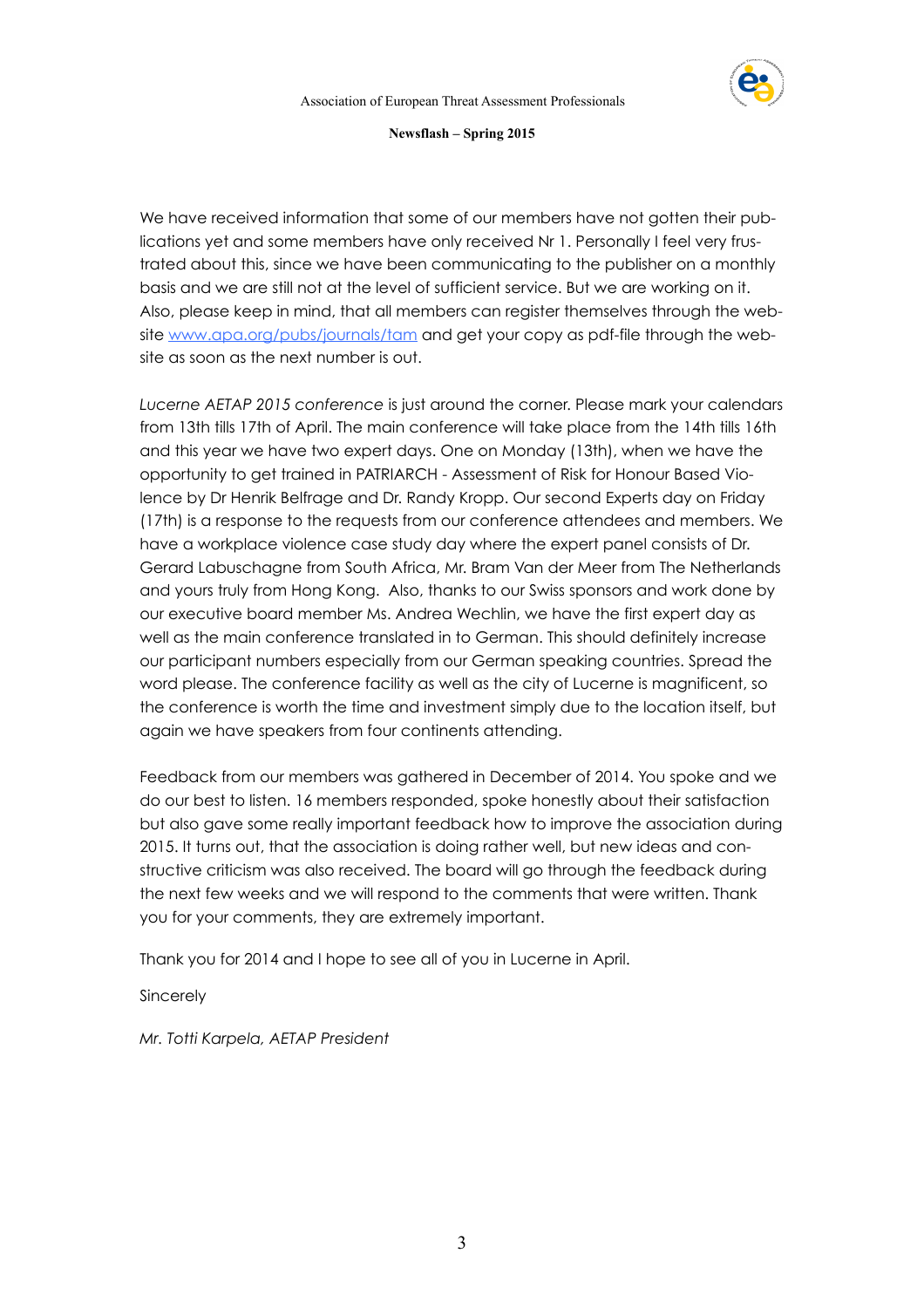

We have received information that some of our members have not gotten their publications yet and some members have only received Nr 1. Personally I feel very frustrated about this, since we have been communicating to the publisher on a monthly basis and we are still not at the level of sufficient service. But we are working on it. Also, please keep in mind, that all members can register themselves through the website [www.apa.org/pubs/journals/tam](http://www.apa.org/pubs/journals/tam) and get your copy as pdf-file through the website as soon as the next number is out.

*Lucerne AETAP 2015 conference* is just around the corner. Please mark your calendars from 13th tills 17th of April. The main conference will take place from the 14th tills 16th and this year we have two expert days. One on Monday (13th), when we have the opportunity to get trained in PATRIARCH - Assessment of Risk for Honour Based Violence by Dr Henrik Belfrage and Dr. Randy Kropp. Our second Experts day on Friday (17th) is a response to the requests from our conference attendees and members. We have a workplace violence case study day where the expert panel consists of Dr. Gerard Labuschagne from South Africa, Mr. Bram Van der Meer from The Netherlands and yours truly from Hong Kong. Also, thanks to our Swiss sponsors and work done by our executive board member Ms. Andrea Wechlin, we have the first expert day as well as the main conference translated in to German. This should definitely increase our participant numbers especially from our German speaking countries. Spread the word please. The conference facility as well as the city of Lucerne is magnificent, so the conference is worth the time and investment simply due to the location itself, but again we have speakers from four continents attending.

Feedback from our members was gathered in December of 2014. You spoke and we do our best to listen. 16 members responded, spoke honestly about their satisfaction but also gave some really important feedback how to improve the association during 2015. It turns out, that the association is doing rather well, but new ideas and constructive criticism was also received. The board will go through the feedback during the next few weeks and we will respond to the comments that were written. Thank you for your comments, they are extremely important.

Thank you for 2014 and I hope to see all of you in Lucerne in April.

Sincerely

*Mr. Totti Karpela, AETAP President*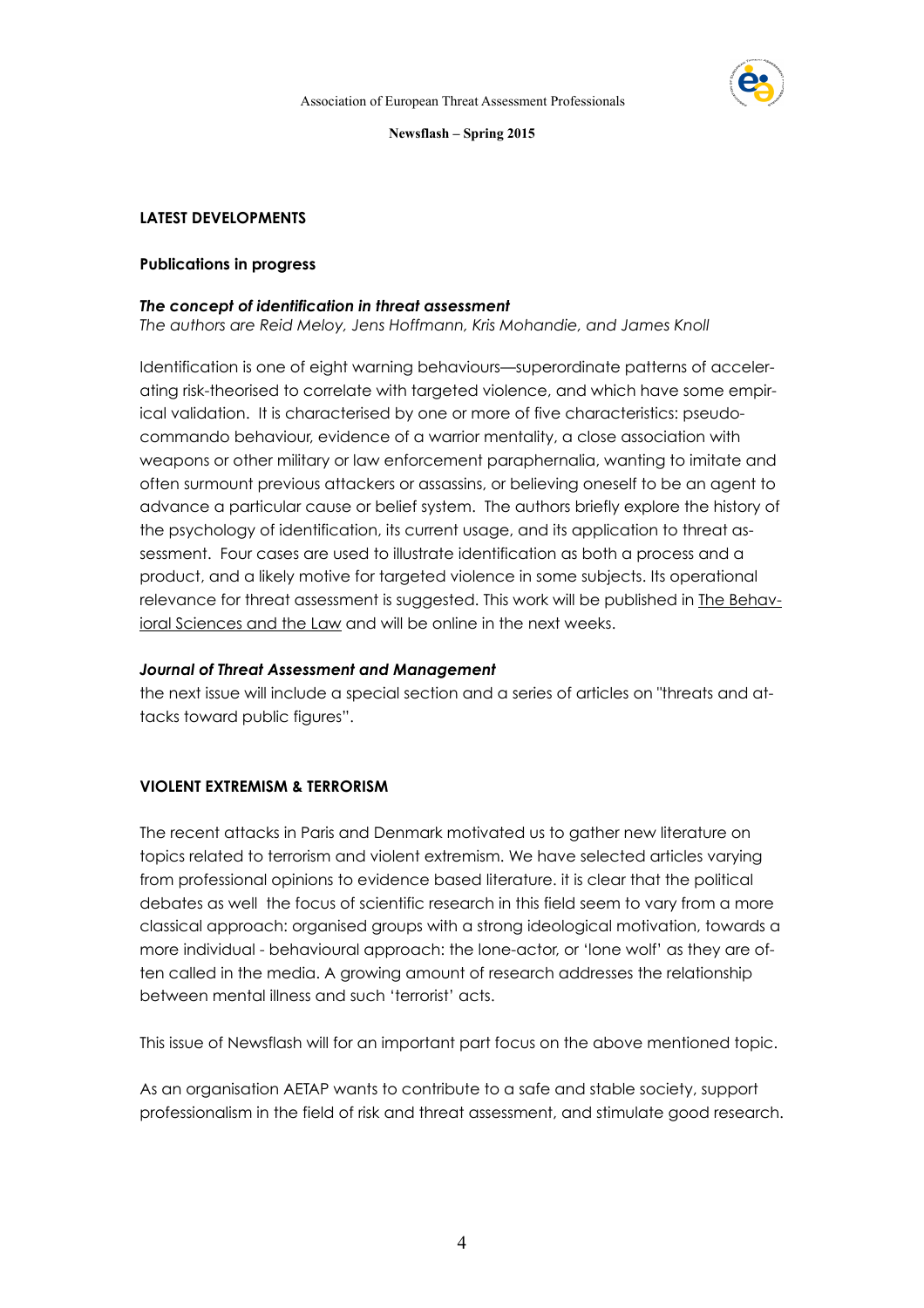

## **LATEST DEVELOPMENTS**

## **Publications in progress**

#### *The concept of identification in threat assessment*

*The authors are Reid Meloy, Jens Hoffmann, Kris Mohandie, and James Knoll* 

Identification is one of eight warning behaviours—superordinate patterns of accelerating risk-theorised to correlate with targeted violence, and which have some empirical validation. It is characterised by one or more of five characteristics: pseudocommando behaviour, evidence of a warrior mentality, a close association with weapons or other military or law enforcement paraphernalia, wanting to imitate and often surmount previous attackers or assassins, or believing oneself to be an agent to advance a particular cause or belief system. The authors briefly explore the history of the psychology of identification, its current usage, and its application to threat assessment. Four cases are used to illustrate identification as both a process and a product, and a likely motive for targeted violence in some subjects. Its operational relevance for threat assessment is suggested. This work will be published in **The Behav**ioral Sciences and the Law and will be online in the next weeks.

#### *Journal of Threat Assessment and Management*

the next issue will include a special section and a series of articles on "threats and attacks toward public figures".

# **VIOLENT EXTREMISM & TERRORISM**

The recent attacks in Paris and Denmark motivated us to gather new literature on topics related to terrorism and violent extremism. We have selected articles varying from professional opinions to evidence based literature. it is clear that the political debates as well the focus of scientific research in this field seem to vary from a more classical approach: organised groups with a strong ideological motivation, towards a more individual - behavioural approach: the lone-actor, or 'lone wolf' as they are often called in the media. A growing amount of research addresses the relationship between mental illness and such 'terrorist' acts.

This issue of Newsflash will for an important part focus on the above mentioned topic.

As an organisation AETAP wants to contribute to a safe and stable society, support professionalism in the field of risk and threat assessment, and stimulate good research.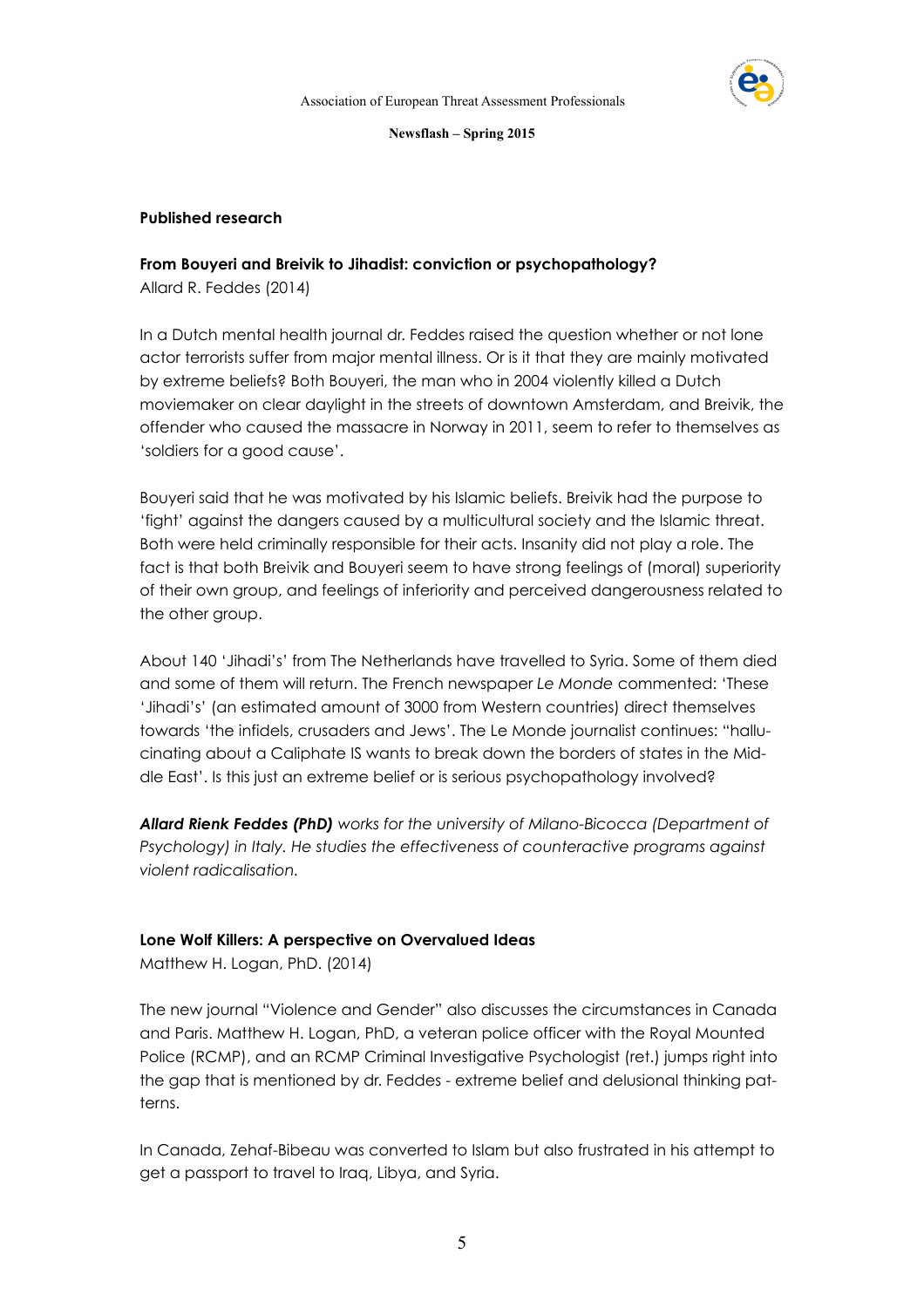

## **Published research**

# **From Bouyeri and Breivik to Jihadist: conviction or psychopathology?**

Allard R. Feddes (2014)

In a Dutch mental health journal dr. Feddes raised the question whether or not lone actor terrorists suffer from major mental illness. Or is it that they are mainly motivated by extreme beliefs? Both Bouyeri, the man who in 2004 violently killed a Dutch moviemaker on clear daylight in the streets of downtown Amsterdam, and Breivik, the offender who caused the massacre in Norway in 2011, seem to refer to themselves as 'soldiers for a good cause'.

Bouyeri said that he was motivated by his Islamic beliefs. Breivik had the purpose to 'fight' against the dangers caused by a multicultural society and the Islamic threat. Both were held criminally responsible for their acts. Insanity did not play a role. The fact is that both Breivik and Bouyeri seem to have strong feelings of (moral) superiority of their own group, and feelings of inferiority and perceived dangerousness related to the other group.

About 140 'Jihadi's' from The Netherlands have travelled to Syria. Some of them died and some of them will return. The French newspaper *Le Monde* commented: 'These 'Jihadi's' (an estimated amount of 3000 from Western countries) direct themselves towards 'the infidels, crusaders and Jews'. The Le Monde journalist continues: "hallucinating about a Caliphate IS wants to break down the borders of states in the Middle East'. Is this just an extreme belief or is serious psychopathology involved?

*Allard Rienk Feddes (PhD) works for the university of Milano-Bicocca (Department of Psychology) in Italy. He studies the effectiveness of counteractive programs against violent radicalisation.* 

# **Lone Wolf Killers: A perspective on Overvalued Ideas**

Matthew H. Logan, PhD. (2014)

The new journal "Violence and Gender" also discusses the circumstances in Canada and Paris. Matthew H. Logan, PhD, a veteran police officer with the Royal Mounted Police (RCMP), and an RCMP Criminal Investigative Psychologist (ret.) jumps right into the gap that is mentioned by dr. Feddes - extreme belief and delusional thinking patterns.

In Canada, Zehaf-Bibeau was converted to Islam but also frustrated in his attempt to get a passport to travel to Iraq, Libya, and Syria.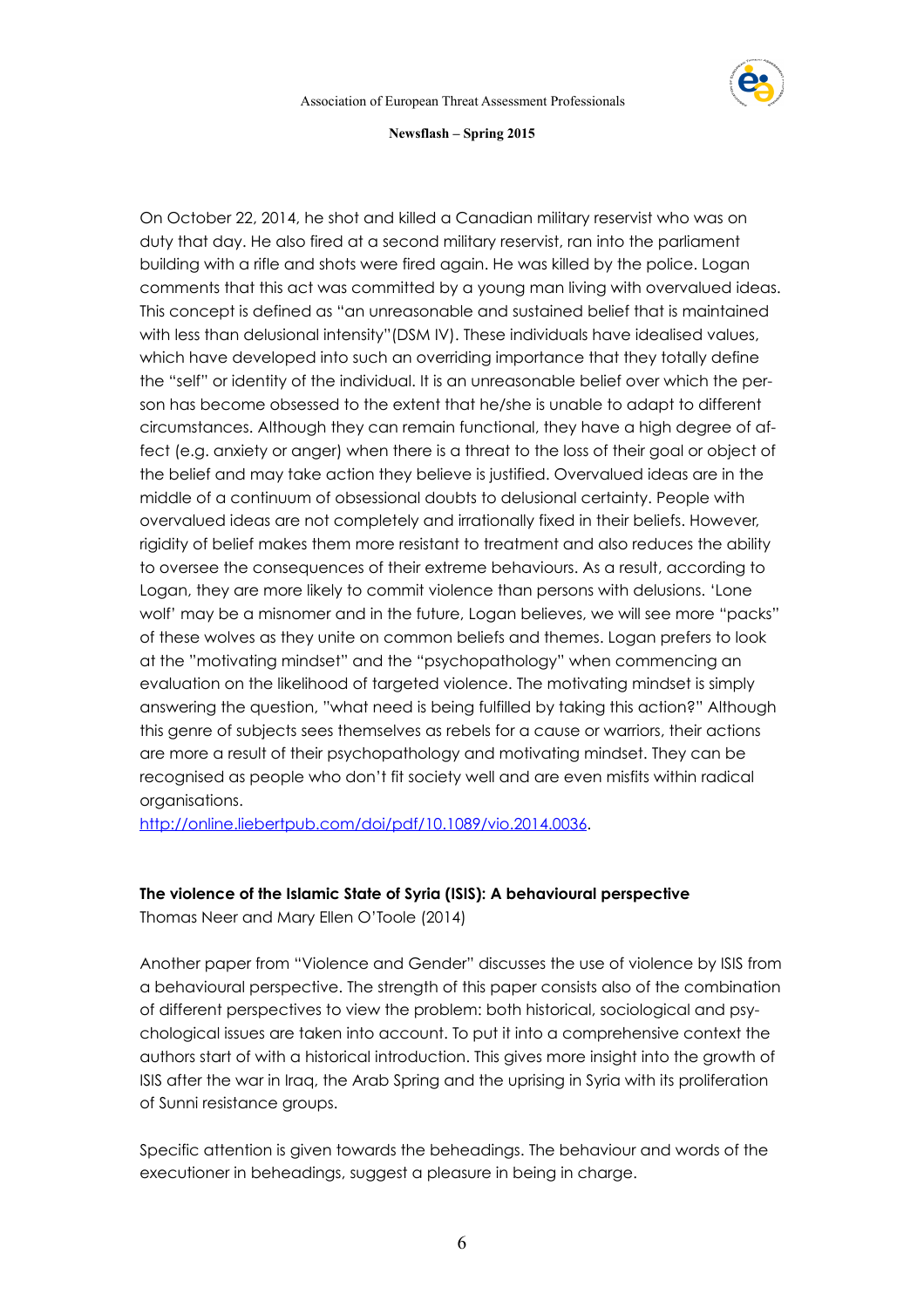

On October 22, 2014, he shot and killed a Canadian military reservist who was on duty that day. He also fired at a second military reservist, ran into the parliament building with a rifle and shots were fired again. He was killed by the police. Logan comments that this act was committed by a young man living with overvalued ideas. This concept is defined as "an unreasonable and sustained belief that is maintained with less than delusional intensity"(DSM IV). These individuals have idealised values, which have developed into such an overriding importance that they totally define the "self" or identity of the individual. It is an unreasonable belief over which the person has become obsessed to the extent that he/she is unable to adapt to different circumstances. Although they can remain functional, they have a high degree of affect (e.g. anxiety or anger) when there is a threat to the loss of their goal or object of the belief and may take action they believe is justified. Overvalued ideas are in the middle of a continuum of obsessional doubts to delusional certainty. People with overvalued ideas are not completely and irrationally fixed in their beliefs. However, rigidity of belief makes them more resistant to treatment and also reduces the ability to oversee the consequences of their extreme behaviours. As a result, according to Logan, they are more likely to commit violence than persons with delusions. 'Lone wolf' may be a misnomer and in the future, Logan believes, we will see more "packs" of these wolves as they unite on common beliefs and themes. Logan prefers to look at the "motivating mindset" and the "psychopathology" when commencing an evaluation on the likelihood of targeted violence. The motivating mindset is simply answering the question, "what need is being fulfilled by taking this action?" Although this genre of subjects sees themselves as rebels for a cause or warriors, their actions are more a result of their psychopathology and motivating mindset. They can be recognised as people who don't fit society well and are even misfits within radical organisations.

<http://online.liebertpub.com/doi/pdf/10.1089/vio.2014.0036>.

# **The violence of the Islamic State of Syria (ISIS): A behavioural perspective**

Thomas Neer and Mary Ellen O'Toole (2014)

Another paper from "Violence and Gender" discusses the use of violence by ISIS from a behavioural perspective. The strength of this paper consists also of the combination of different perspectives to view the problem: both historical, sociological and psychological issues are taken into account. To put it into a comprehensive context the authors start of with a historical introduction. This gives more insight into the growth of ISIS after the war in Iraq, the Arab Spring and the uprising in Syria with its proliferation of Sunni resistance groups.

Specific attention is given towards the beheadings. The behaviour and words of the executioner in beheadings, suggest a pleasure in being in charge.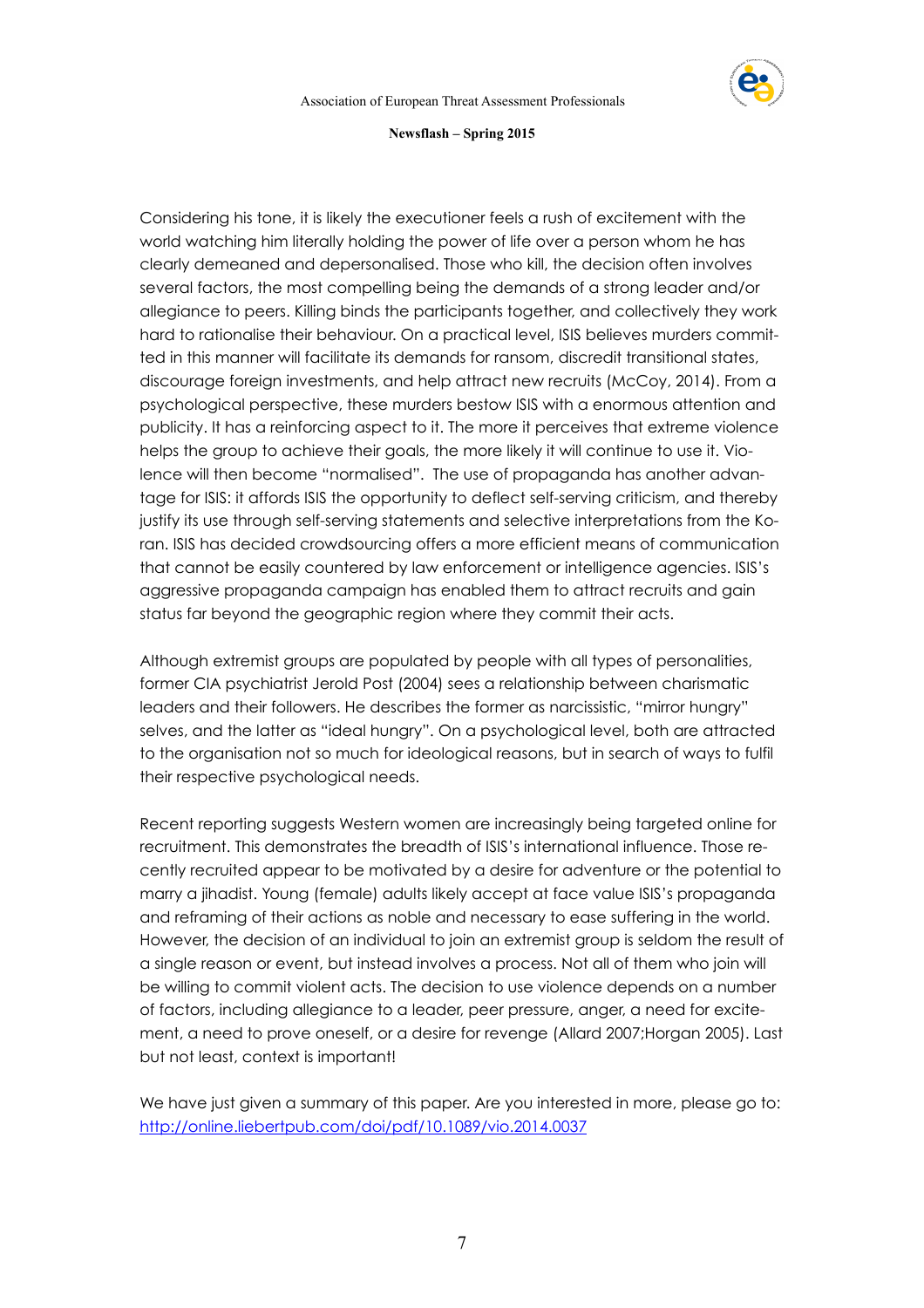

Considering his tone, it is likely the executioner feels a rush of excitement with the world watching him literally holding the power of life over a person whom he has clearly demeaned and depersonalised. Those who kill, the decision often involves several factors, the most compelling being the demands of a strong leader and/or allegiance to peers. Killing binds the participants together, and collectively they work hard to rationalise their behaviour. On a practical level, ISIS believes murders committed in this manner will facilitate its demands for ransom, discredit transitional states, discourage foreign investments, and help attract new recruits (McCoy, 2014). From a psychological perspective, these murders bestow ISIS with a enormous attention and publicity. It has a reinforcing aspect to it. The more it perceives that extreme violence helps the group to achieve their goals, the more likely it will continue to use it. Violence will then become "normalised". The use of propaganda has another advantage for ISIS: it affords ISIS the opportunity to deflect self-serving criticism, and thereby justify its use through self-serving statements and selective interpretations from the Koran. ISIS has decided crowdsourcing offers a more efficient means of communication that cannot be easily countered by law enforcement or intelligence agencies. ISIS's aggressive propaganda campaign has enabled them to attract recruits and gain status far beyond the geographic region where they commit their acts.

Although extremist groups are populated by people with all types of personalities, former CIA psychiatrist Jerold Post (2004) sees a relationship between charismatic leaders and their followers. He describes the former as narcissistic, "mirror hungry" selves, and the latter as "ideal hungry". On a psychological level, both are attracted to the organisation not so much for ideological reasons, but in search of ways to fulfil their respective psychological needs.

Recent reporting suggests Western women are increasingly being targeted online for recruitment. This demonstrates the breadth of ISIS's international influence. Those recently recruited appear to be motivated by a desire for adventure or the potential to marry a jihadist. Young (female) adults likely accept at face value ISIS's propaganda and reframing of their actions as noble and necessary to ease suffering in the world. However, the decision of an individual to join an extremist group is seldom the result of a single reason or event, but instead involves a process. Not all of them who join will be willing to commit violent acts. The decision to use violence depends on a number of factors, including allegiance to a leader, peer pressure, anger, a need for excitement, a need to prove oneself, or a desire for revenge (Allard 2007;Horgan 2005). Last but not least, context is important!

We have just given a summary of this paper. Are you interested in more, please go to: <http://online.liebertpub.com/doi/pdf/10.1089/vio.2014.0037>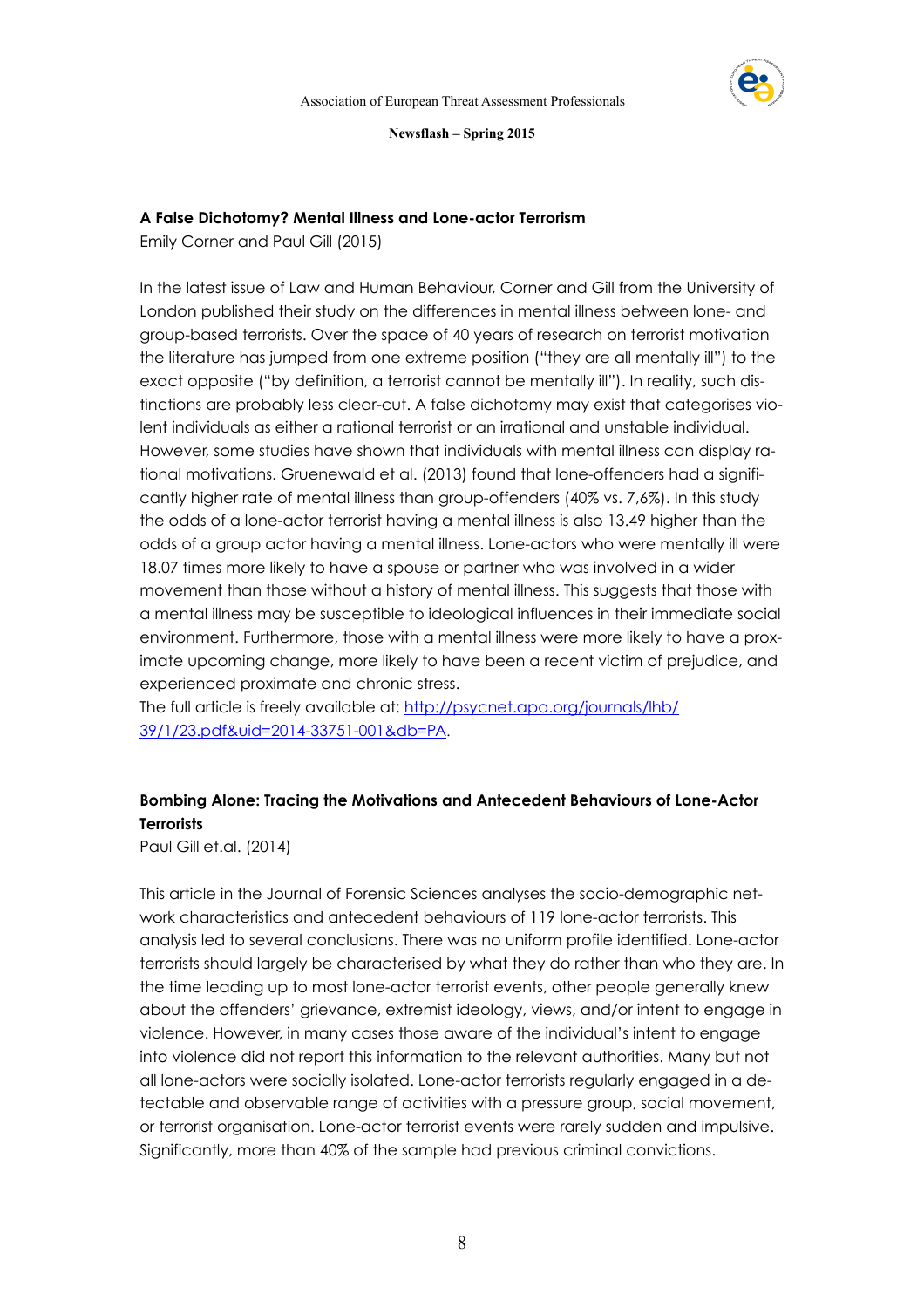

# **A False Dichotomy? Mental Illness and Lone-actor Terrorism**

Emily Corner and Paul Gill (2015)

In the latest issue of Law and Human Behaviour, Corner and Gill from the University of London published their study on the differences in mental illness between lone- and group-based terrorists. Over the space of 40 years of research on terrorist motivation the literature has jumped from one extreme position ("they are all mentally ill") to the exact opposite ("by definition, a terrorist cannot be mentally ill"). In reality, such distinctions are probably less clear-cut. A false dichotomy may exist that categorises violent individuals as either a rational terrorist or an irrational and unstable individual. However, some studies have shown that individuals with mental illness can display rational motivations. Gruenewald et al. (2013) found that lone-offenders had a significantly higher rate of mental illness than group-offenders (40% vs. 7,6%). In this study the odds of a lone-actor terrorist having a mental illness is also 13.49 higher than the odds of a group actor having a mental illness. Lone-actors who were mentally ill were 18.07 times more likely to have a spouse or partner who was involved in a wider movement than those without a history of mental illness. This suggests that those with a mental illness may be susceptible to ideological influences in their immediate social environment. Furthermore, those with a mental illness were more likely to have a proximate upcoming change, more likely to have been a recent victim of prejudice, and experienced proximate and chronic stress.

[The full article is freely available at: http://psycnet.apa.org/journals/lhb/](http://psycnet.apa.org/journals/lhb/39/1/23.pdf&uid=2014-33751-001&db=PA) 39/1/23.pdf&uid=2014-33751-001&db=PA.

# **Bombing Alone: Tracing the Motivations and Antecedent Behaviours of Lone-Actor Terrorists**

Paul Gill et.al. (2014)

This article in the Journal of Forensic Sciences analyses the socio-demographic network characteristics and antecedent behaviours of 119 lone-actor terrorists. This analysis led to several conclusions. There was no uniform profile identified. Lone-actor terrorists should largely be characterised by what they do rather than who they are. In the time leading up to most lone-actor terrorist events, other people generally knew about the offenders' grievance, extremist ideology, views, and/or intent to engage in violence. However, in many cases those aware of the individual's intent to engage into violence did not report this information to the relevant authorities. Many but not all lone-actors were socially isolated. Lone-actor terrorists regularly engaged in a detectable and observable range of activities with a pressure group, social movement, or terrorist organisation. Lone-actor terrorist events were rarely sudden and impulsive. Significantly, more than 40% of the sample had previous criminal convictions.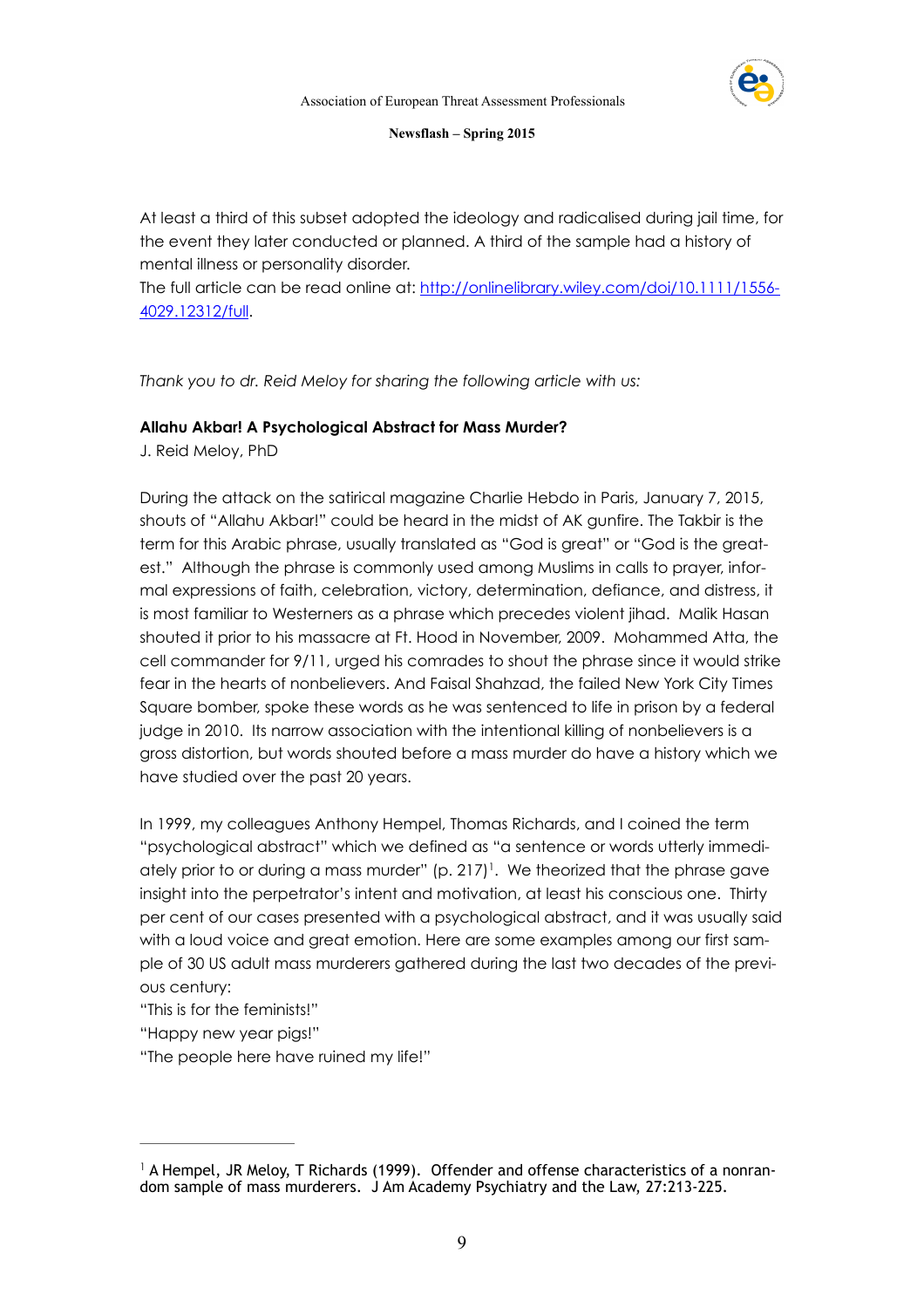

At least a third of this subset adopted the ideology and radicalised during jail time, for the event they later conducted or planned. A third of the sample had a history of mental illness or personality disorder.

[The full article can be read online at: http://onlinelibrary.wiley.com/doi/10.1111/1556-](http://onlinelibrary.wiley.com/doi/10.1111/1556-4029.12312/full) 4029.12312/full.

*Thank you to dr. Reid Meloy for sharing the following article with us:*

# **Allahu Akbar! A Psychological Abstract for Mass Murder?**

J. Reid Meloy, PhD

During the attack on the satirical magazine Charlie Hebdo in Paris, January 7, 2015, shouts of "Allahu Akbar!" could be heard in the midst of AK gunfire. The Takbir is the term for this Arabic phrase, usually translated as "God is great" or "God is the greatest." Although the phrase is commonly used among Muslims in calls to prayer, informal expressions of faith, celebration, victory, determination, defiance, and distress, it is most familiar to Westerners as a phrase which precedes violent jihad. Malik Hasan shouted it prior to his massacre at Ft. Hood in November, 2009. Mohammed Atta, the cell commander for 9/11, urged his comrades to shout the phrase since it would strike fear in the hearts of nonbelievers. And Faisal Shahzad, the failed New York City Times Square bomber, spoke these words as he was sentenced to life in prison by a federal judge in 2010. Its narrow association with the intentional killing of nonbelievers is a gross distortion, but words shouted before a mass murder do have a history which we have studied over the past 20 years.

In 1999, my colleagues Anthony Hempel, Thomas Richards, and I coined the term "psychological abstract" which we defined as "a sentence or words utterly immediately prior to or during a mass murder"  $(p. 217)^1$ . We theorized that the phrase gave insight into the perpetrator's intent and motivation, at least his conscious one. Thirty per cent of our cases presented with a psychological abstract, and it was usually said with a loud voice and great emotion. Here are some examples among our first sample of 30 US adult mass murderers gathered during the last two decades of the previous century:

"This is for the feminists!"

"Happy new year pigs!"

"The people here have ruined my life!"

 $^{\text{1}}$  A Hempel, JR Meloy, T Richards (1999). Offender and offense characteristics of a nonrandom sample of mass murderers. J Am Academy Psychiatry and the Law, 27:213-225.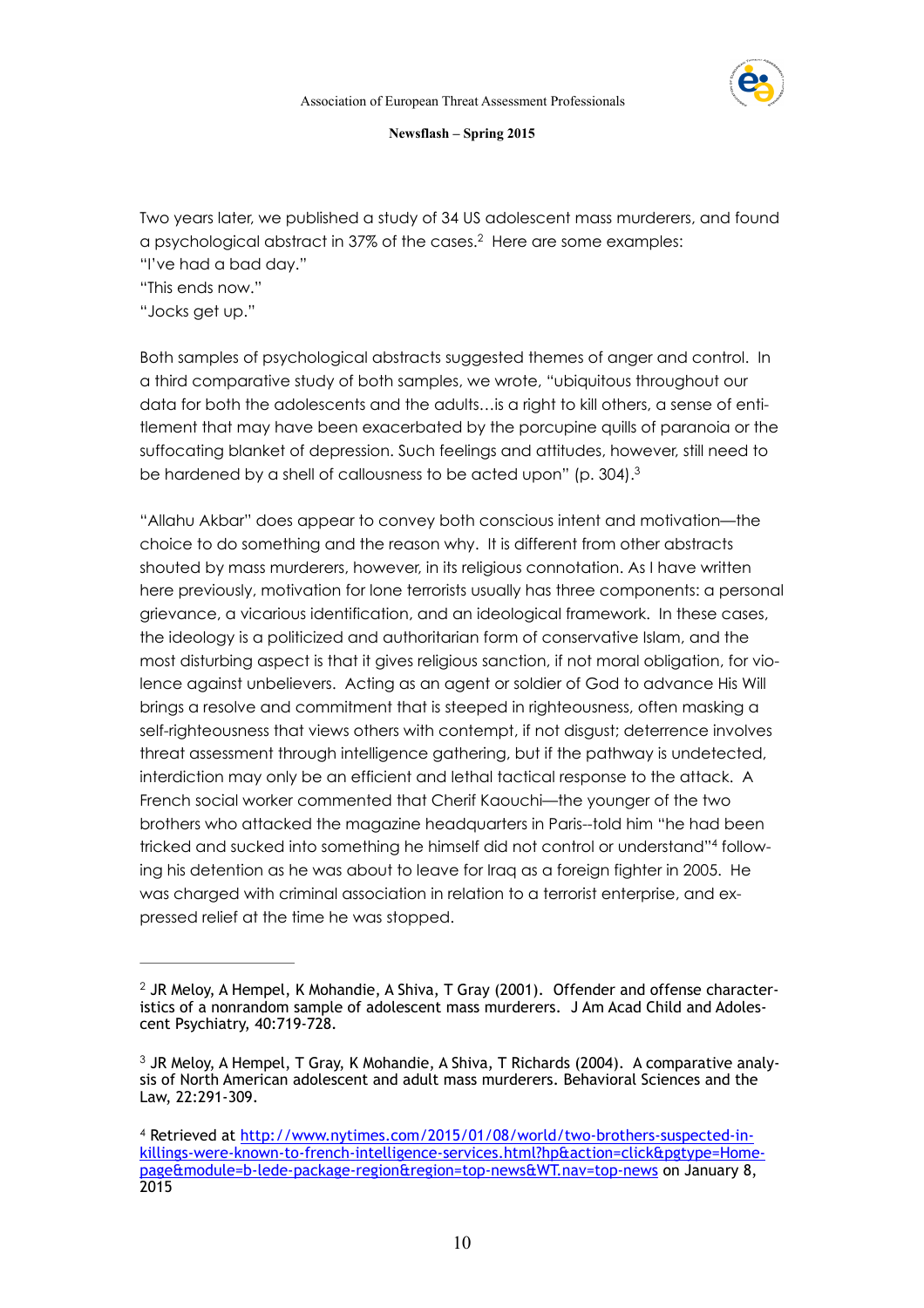

Two years later, we published a study of 34 US adolescent mass murderers, and found a psychological abstract in 37% of the cases.<sup>2</sup> Here are some examples: "I've had a bad day."

"This ends now."

"Jocks get up."

Both samples of psychological abstracts suggested themes of anger and control. In a third comparative study of both samples, we wrote, "ubiquitous throughout our data for both the adolescents and the adults…is a right to kill others, a sense of entitlement that may have been exacerbated by the porcupine quills of paranoia or the suffocating blanket of depression. Such feelings and attitudes, however, still need to be hardened by a shell of callousness to be acted upon" (p. 304).3

"Allahu Akbar" does appear to convey both conscious intent and motivation—the choice to do something and the reason why. It is different from other abstracts shouted by mass murderers, however, in its religious connotation. As I have written here previously, motivation for lone terrorists usually has three components: a personal grievance, a vicarious identification, and an ideological framework. In these cases, the ideology is a politicized and authoritarian form of conservative Islam, and the most disturbing aspect is that it gives religious sanction, if not moral obligation, for violence against unbelievers. Acting as an agent or soldier of God to advance His Will brings a resolve and commitment that is steeped in righteousness, often masking a self-righteousness that views others with contempt, if not disgust; deterrence involves threat assessment through intelligence gathering, but if the pathway is undetected, interdiction may only be an efficient and lethal tactical response to the attack. A French social worker commented that Cherif Kaouchi—the younger of the two brothers who attacked the magazine headquarters in Paris--told him "he had been tricked and sucked into something he himself did not control or understand"4 following his detention as he was about to leave for Iraq as a foreign fighter in 2005. He was charged with criminal association in relation to a terrorist enterprise, and expressed relief at the time he was stopped.

<sup>&</sup>lt;sup>2</sup> JR Meloy, A Hempel, K Mohandie, A Shiva, T Gray (2001). Offender and offense characteristics of a nonrandom sample of adolescent mass murderers. J Am Acad Child and Adolescent Psychiatry, 40:719-728.

 $3$  JR Melov, A Hempel, T Gray, K Mohandie, A Shiva, T Richards (2004). A comparative analysis of North American adolescent and adult mass murderers. Behavioral Sciences and the Law, 22:291-309.

Retrieved at http://www.nytimes.com/2015/01/08/world/two-brothers-suspected-in- <sup>4</sup> [killings-were-known-to-french-intelligence-services.html?hp&action=click&pgtype=Home](http://www.nytimes.com/2015/01/08/world/two-brothers-suspected-in-killings-were-known-to-french-intelligence-services.html?hp&action=click&pgtype=Homepage&module=b-lede-package-region®ion=top-news&WT.nav=top-news)page&module=b-lede-package-region&region=top-news&WT.nav=top-news on January 8, 2015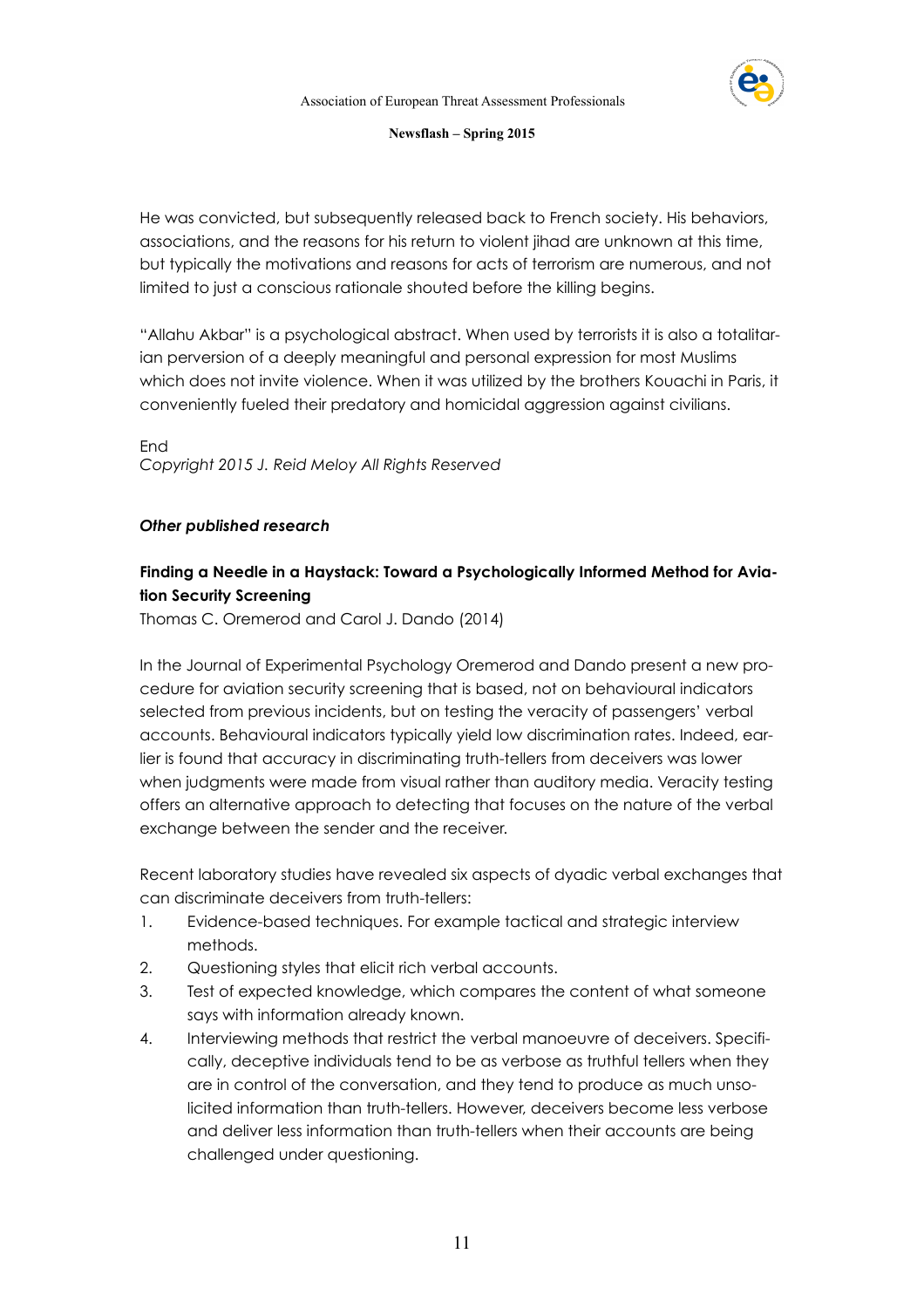

He was convicted, but subsequently released back to French society. His behaviors, associations, and the reasons for his return to violent jihad are unknown at this time, but typically the motivations and reasons for acts of terrorism are numerous, and not limited to just a conscious rationale shouted before the killing begins.

"Allahu Akbar" is a psychological abstract. When used by terrorists it is also a totalitarian perversion of a deeply meaningful and personal expression for most Muslims which does not invite violence. When it was utilized by the brothers Kouachi in Paris, it conveniently fueled their predatory and homicidal aggression against civilians.

End *Copyright 2015 J. Reid Meloy All Rights Reserved*

# *Other published research*

# **Finding a Needle in a Haystack: Toward a Psychologically Informed Method for Aviation Security Screening**

Thomas C. Oremerod and Carol J. Dando (2014)

In the Journal of Experimental Psychology Oremerod and Dando present a new procedure for aviation security screening that is based, not on behavioural indicators selected from previous incidents, but on testing the veracity of passengers' verbal accounts. Behavioural indicators typically yield low discrimination rates. Indeed, earlier is found that accuracy in discriminating truth-tellers from deceivers was lower when judgments were made from visual rather than auditory media. Veracity testing offers an alternative approach to detecting that focuses on the nature of the verbal exchange between the sender and the receiver.

Recent laboratory studies have revealed six aspects of dyadic verbal exchanges that can discriminate deceivers from truth-tellers:

- 1. Evidence-based techniques. For example tactical and strategic interview methods.
- 2. Questioning styles that elicit rich verbal accounts.
- 3. Test of expected knowledge, which compares the content of what someone says with information already known.
- 4. Interviewing methods that restrict the verbal manoeuvre of deceivers. Specifically, deceptive individuals tend to be as verbose as truthful tellers when they are in control of the conversation, and they tend to produce as much unsolicited information than truth-tellers. However, deceivers become less verbose and deliver less information than truth-tellers when their accounts are being challenged under questioning.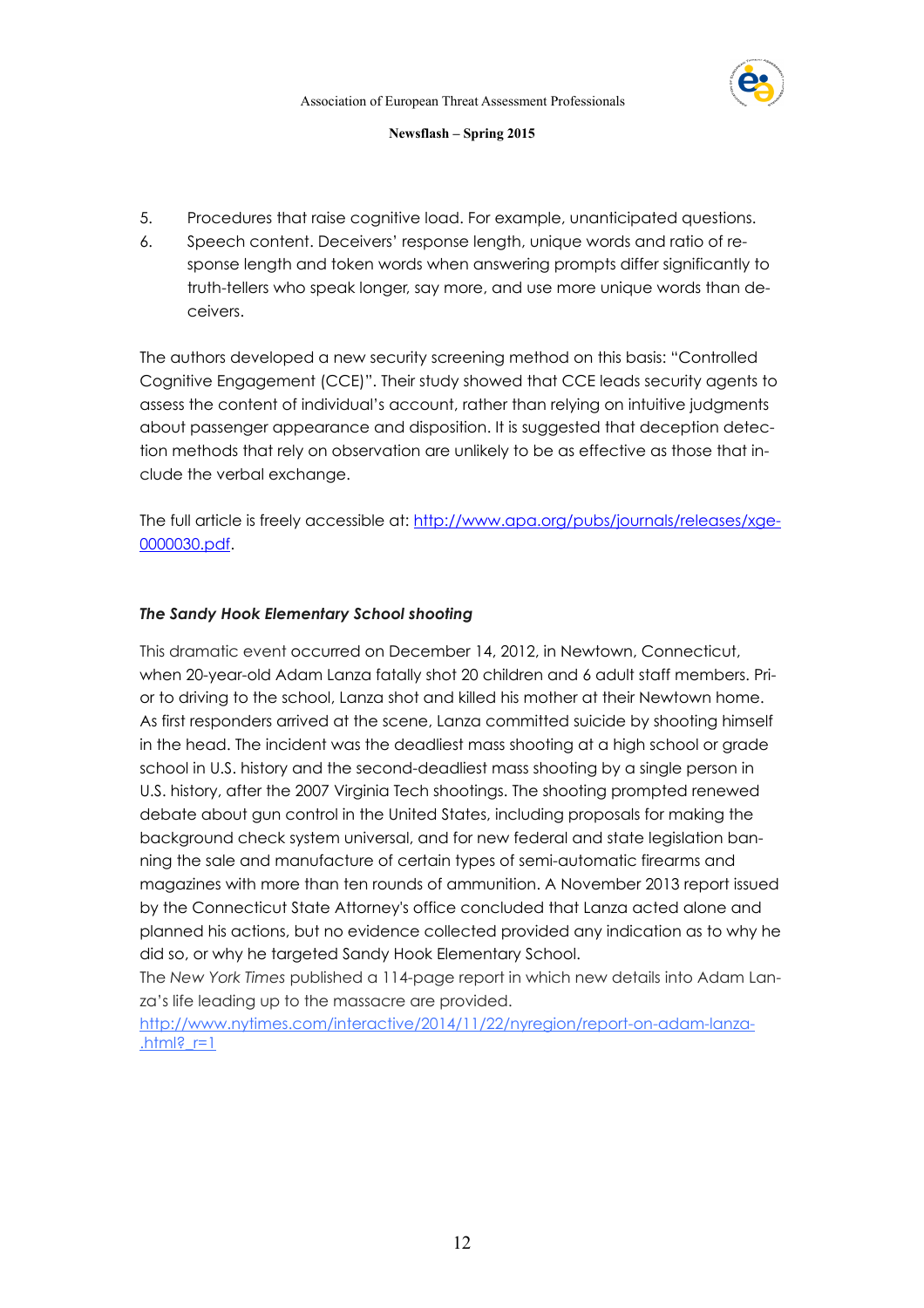

- 5. Procedures that raise cognitive load. For example, unanticipated questions.
- 6. Speech content. Deceivers' response length, unique words and ratio of response length and token words when answering prompts differ significantly to truth-tellers who speak longer, say more, and use more unique words than deceivers.

The authors developed a new security screening method on this basis: "Controlled Cognitive Engagement (CCE)". Their study showed that CCE leads security agents to assess the content of individual's account, rather than relying on intuitive judgments about passenger appearance and disposition. It is suggested that deception detection methods that rely on observation are unlikely to be as effective as those that include the verbal exchange.

[The full article is freely accessible at: http://www.apa.org/pubs/journals/releases/xge-](http://www.apa.org/pubs/journals/releases/xge-0000030.pdf)0000030.pdf.

# *The Sandy Hook Elementary School shooting*

This dramatic event occurred on December 14, 2012, in [Newtown, Connecticut](http://en.wikipedia.org/wiki/Newtown,_Connecticut), when 20-year-old Adam Lanza fatally shot 20 children and 6 adult staff members. Prior to driving to the school, Lanza shot and killed his mother at their Newtown home. As first responders arrived at the scene, Lanza committed [suicide](http://en.wikipedia.org/wiki/Murder-suicide) by shooting himself in the head. The incident was the deadliest [mass shooting](http://en.wikipedia.org/wiki/Mass_shooting) at a high school or grade school in U.S. history and the second-deadliest mass shooting by a single person in U.S. history, after the 2007 [Virginia Tech shootings](http://en.wikipedia.org/wiki/Virginia_Tech_shooting). The shooting prompted renewed debate about [gun control in the United States](http://en.wikipedia.org/wiki/Gun_control_in_the_United_States), including proposals for making the background check system universal, and for new federal and state [legislation](http://en.wikipedia.org/wiki/Gun_law_in_the_United_States) banning the sale and manufacture of certain types of semi-automatic [firearms](http://en.wikipedia.org/wiki/Firearms) and [magazines](http://en.wikipedia.org/wiki/Magazine_(firearms)) with more than ten rounds of ammunition. A November 2013 report issued by the Connecticut State Attorney's office concluded that Lanza acted alone and planned his actions, but no evidence collected provided any indication as to why he did so, or why he targeted Sandy Hook Elementary School.

The *New York Times* published a 114-page report in which new details into Adam Lanza's life leading up to the massacre are provided.

[http://www.nytimes.com/interactive/2014/11/22/nyregion/report-on-adam-lanza](http://www.nytimes.com/interactive/2014/11/22/nyregion/report-on-adam-lanza.html?_r=1)- .html?  $r=1$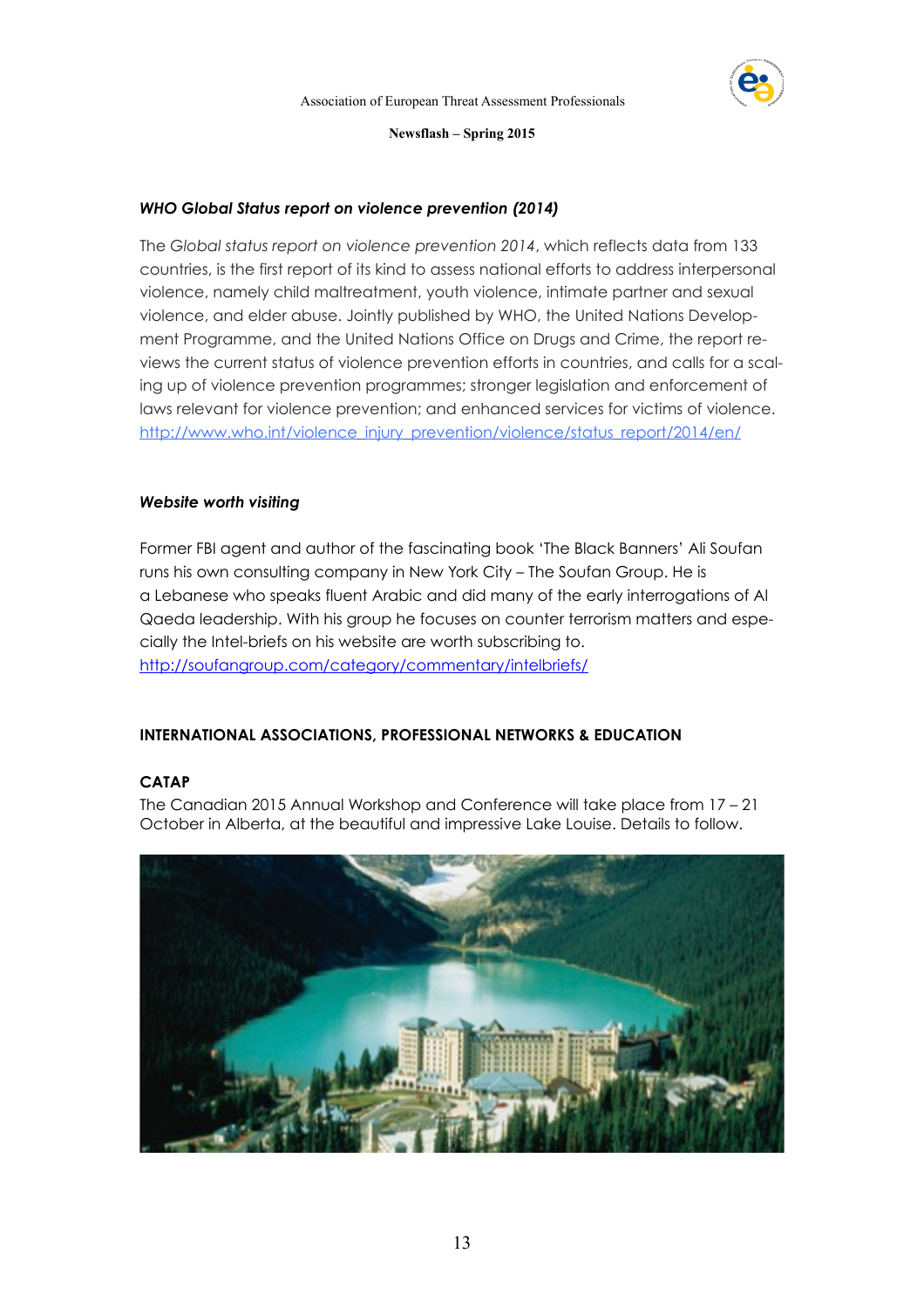

# *WHO Global Status report on violence prevention (2014)*

The *Global status report on violence prevention 2014*, which reflects data from 133 countries, is the first report of its kind to assess national efforts to address interpersonal violence, namely child maltreatment, youth violence, intimate partner and sexual violence, and elder abuse. Jointly published by WHO, the United Nations Development Programme, and the United Nations Office on Drugs and Crime, the report reviews the current status of violence prevention efforts in countries, and calls for a scaling up of violence prevention programmes; stronger legislation and enforcement of laws relevant for violence prevention; and enhanced services for victims of violence. [http://www.who.int/violence\\_injury\\_prevention/violence/status\\_report/2014/en/](http://www.who.int/violence_injury_prevention/violence/status_report/2014/en/)

# *Website worth visiting*

Former FBI agent and author of the fascinating book 'The Black Banners' Ali Soufan runs his own consulting company in New York City – The Soufan Group. He is a Lebanese who speaks fluent Arabic and did many of the early interrogations of Al Qaeda leadership. With his group he focuses on counter terrorism matters and especially the Intel-briefs on his website are worth subscribing to. <http://soufangroup.com/category/commentary/intelbriefs/>

# **INTERNATIONAL ASSOCIATIONS, PROFESSIONAL NETWORKS & EDUCATION**

# **CATAP**

The Canadian 2015 Annual Workshop and Conference will take place from 17 – 21 October in Alberta, at the beautiful and impressive Lake Louise. Details to follow.

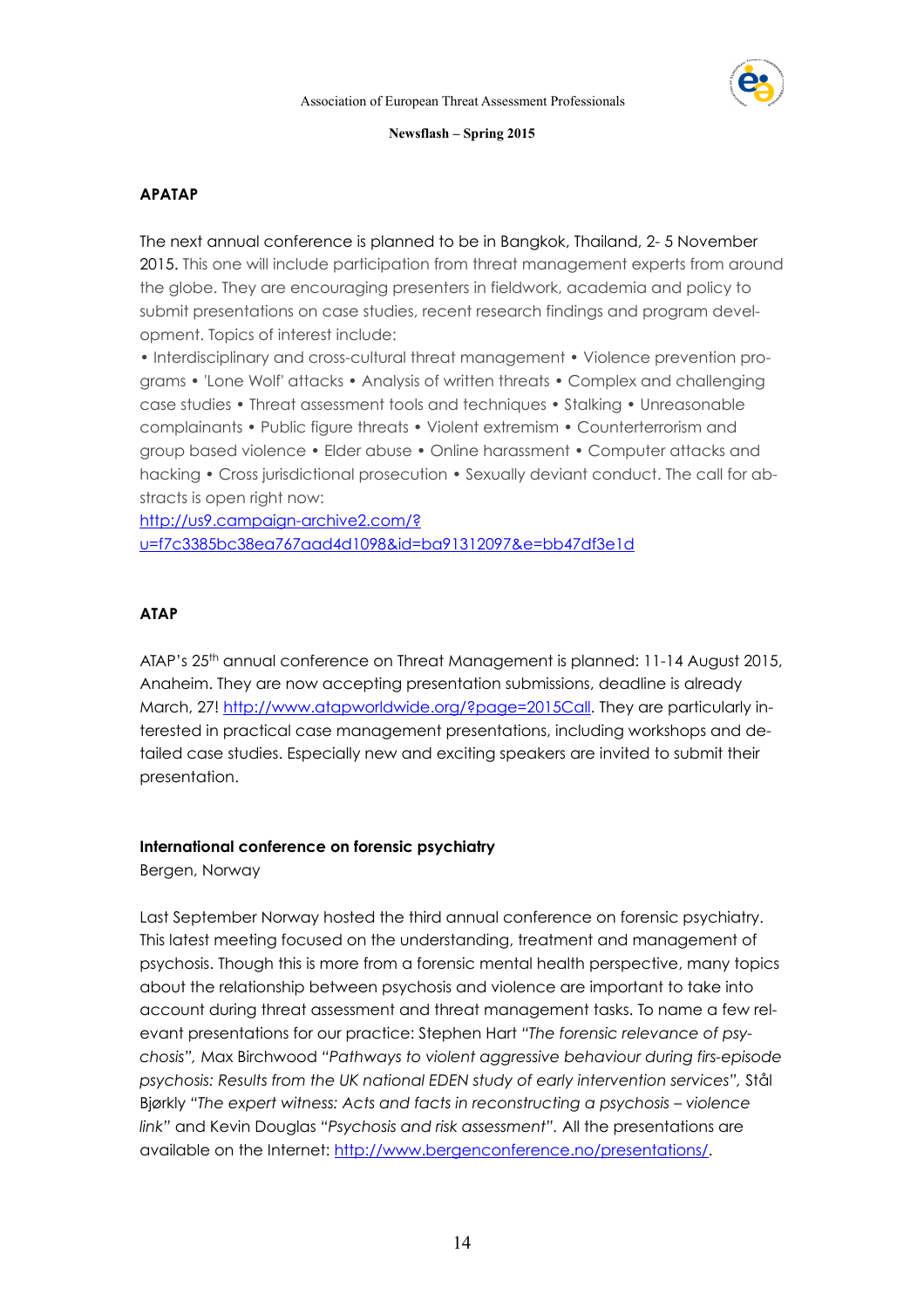

# **APATAP**

The next annual conference is planned to be in Bangkok, Thailand, 2- 5 November 2015. This one will include participation from threat management experts from around the globe. They are encouraging presenters in fieldwork, academia and policy to submit presentations on case studies, recent research findings and program development. Topics of interest include:

• Interdisciplinary and cross-cultural threat management • Violence prevention programs • 'Lone Wolf' attacks • Analysis of written threats • Complex and challenging case studies • Threat assessment tools and techniques • Stalking • Unreasonable complainants • Public figure threats • Violent extremism • Counterterrorism and group based violence • Elder abuse • Online harassment • Computer attacks and hacking • Cross jurisdictional prosecution • Sexually deviant conduct. The call for abstracts is open right now:

http://us9.campaign-archive2.com/? [u=f7c3385bc38ea767aad4d1098&id=ba91312097&e=bb47df3e1d](http://us9.campaign-archive2.com/?u=f7c3385bc38ea767aad4d1098&id=ba91312097&e=bb47df3e1d)

# **ATAP**

ATAP's 25<sup>th</sup> annual conference on Threat Management is planned: 11-14 August 2015, Anaheim. They are now accepting presentation submissions, deadline is already March, 27! <http://www.atapworldwide.org/?page=2015Call>. They are particularly interested in practical case management presentations, including workshops and detailed case studies. Especially new and exciting speakers are invited to submit their presentation.

# **International conference on forensic psychiatry**

Bergen, Norway

Last September Norway hosted the third annual conference on forensic psychiatry. This latest meeting focused on the understanding, treatment and management of psychosis. Though this is more from a forensic mental health perspective, many topics about the relationship between psychosis and violence are important to take into account during threat assessment and threat management tasks. To name a few relevant presentations for our practice: Stephen Hart *"The forensic relevance of psychosis",* Max Birchwood *"Pathways to violent aggressive behaviour during firs-episode psychosis: Results from the UK national EDEN study of early intervention services",* Stål Bjørkly *"The expert witness: Acts and facts in reconstructing a psychosis – violence link"* and Kevin Douglas *"Psychosis and risk assessment".* All the presentations are available on the Internet:<http://www.bergenconference.no/presentations/>.